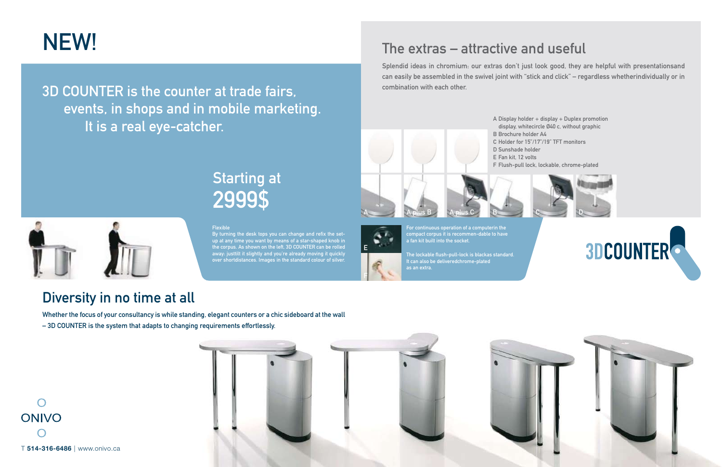A

3D COUNTER is the counter at trade fairs, events, in shops and in mobile marketing. It is a real eye-catcher.

### Diversity in no time at all

Whether the focus of your consultancy is while standing, elegant counters or a chic sideboard at the wall – 3D COUNTER is the system that adapts to changing requirements effortlessly.



# NEW! The extras – attractive and useful

Splendid ideas in chromium: our extras don't just look good, they are helpful with presentationsand can easily be assembled in the swivel joint with "stick and click" – regardless whetherindividually or in combination with each other.

### Flexible

By turning the desk tops you can change and refix the setup at any time you want by means of a star-shaped knob in the corpus. As shown on the left, 3D COUNTER can be rolled away: justtilt it slightly and you're already moving it quickly over shortdistances. Images in the standard colour of silver.

## Starting at 2999\$

For continuous operation of a computerin the compact corpus it is recommen-dable to have a fan kit built into the socket.

The lockable flush-pull-lock is blackas standard. It can also be deliveredchrome-plated as an extra.

- A Display holder + display + Duplex promotion display, whitecircle Ø40 c, without graphic C Holder for 15"/17"/19" TFT monitors
	-
- F Flush-pull lock, lockable, chrome-plated

B Brochure holder A4 D Sunshade holder E Fan kit, 12 volts









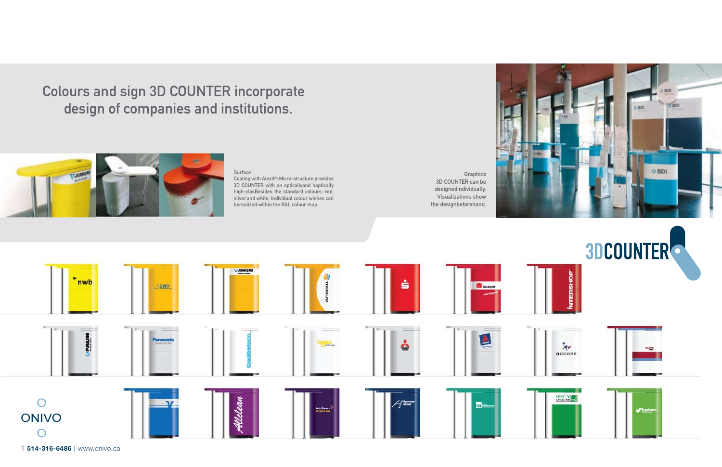T **514-316-6486** | www.onivo.ca





Colours and sign 3D COUNTER incorporate design of companies and institutions.



### Surface

**Graphics** 3D COUNTER can be designedindividually. Visualizations show the designbeforehand.



Coating with Alexit®-Micro-structure provides 3D COUNTER with an opticallyand haptically high-clasBesides the standard colours: red, silver,and white, individual colour wishes can berealized within the RAL colour map.